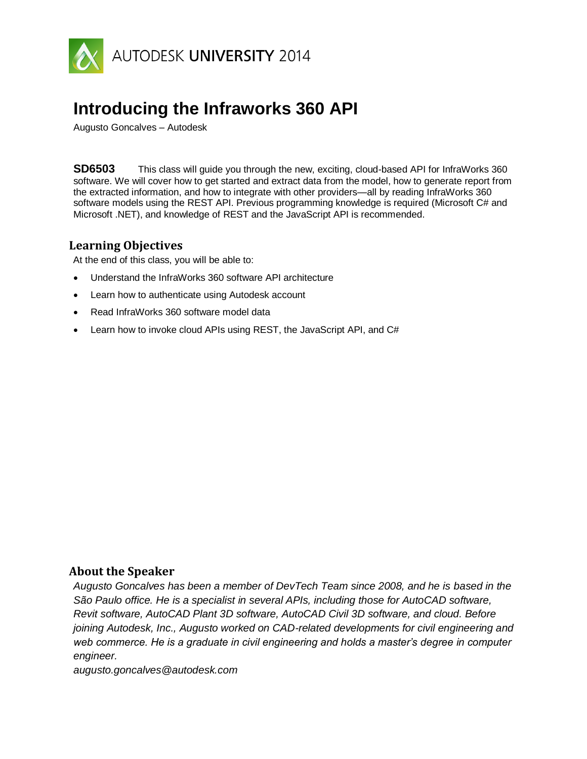

# **Introducing the Infraworks 360 API**

Augusto Goncalves – Autodesk

**SD6503** This class will guide you through the new, exciting, cloud-based API for InfraWorks 360 software. We will cover how to get started and extract data from the model, how to generate report from the extracted information, and how to integrate with other providers—all by reading InfraWorks 360 software models using the REST API. Previous programming knowledge is required (Microsoft C# and Microsoft .NET), and knowledge of REST and the JavaScript API is recommended.

# **Learning Objectives**

At the end of this class, you will be able to:

- Understand the InfraWorks 360 software API architecture
- Learn how to authenticate using Autodesk account
- Read InfraWorks 360 software model data
- Learn how to invoke cloud APIs using REST, the JavaScript API, and C#

# **About the Speaker**

*Augusto Goncalves has been a member of DevTech Team since 2008, and he is based in the São Paulo office. He is a specialist in several APIs, including those for AutoCAD software, Revit software, AutoCAD Plant 3D software, AutoCAD Civil 3D software, and cloud. Before joining Autodesk, Inc., Augusto worked on CAD-related developments for civil engineering and web commerce. He is a graduate in civil engineering and holds a master's degree in computer engineer.*

*augusto.goncalves@autodesk.com*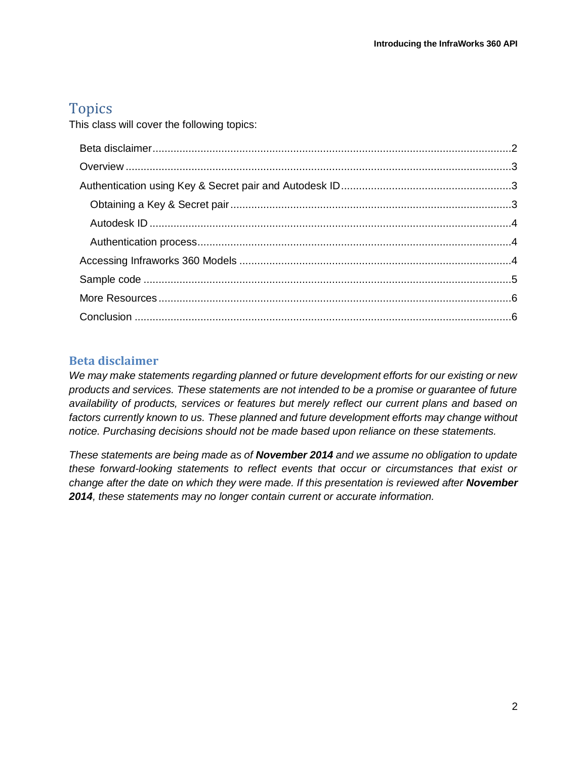# Topics

This class will cover the following topics:

# <span id="page-1-0"></span>**Beta disclaimer**

*We may make statements regarding planned or future development efforts for our existing or new products and services. These statements are not intended to be a promise or guarantee of future availability of products, services or features but merely reflect our current plans and based on factors currently known to us. These planned and future development efforts may change without notice. Purchasing decisions should not be made based upon reliance on these statements.*

*These statements are being made as of November 2014 and we assume no obligation to update these forward-looking statements to reflect events that occur or circumstances that exist or change after the date on which they were made. If this presentation is reviewed after November 2014, these statements may no longer contain current or accurate information.*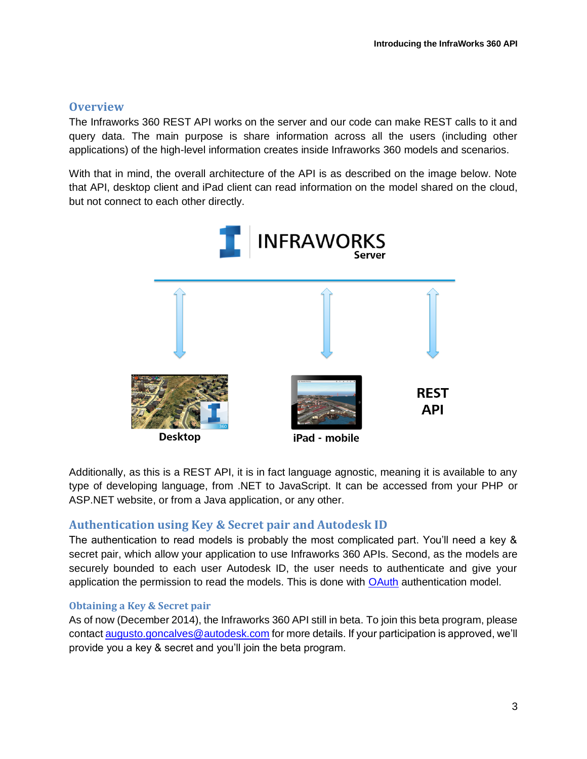# <span id="page-2-0"></span>**Overview**

The Infraworks 360 REST API works on the server and our code can make REST calls to it and query data. The main purpose is share information across all the users (including other applications) of the high-level information creates inside Infraworks 360 models and scenarios.

With that in mind, the overall architecture of the API is as described on the image below. Note that API, desktop client and iPad client can read information on the model shared on the cloud, but not connect to each other directly.



Additionally, as this is a REST API, it is in fact language agnostic, meaning it is available to any type of developing language, from .NET to JavaScript. It can be accessed from your PHP or ASP.NET website, or from a Java application, or any other.

#### <span id="page-2-1"></span>**Authentication using Key & Secret pair and Autodesk ID**

The authentication to read models is probably the most complicated part. You'll need a key & secret pair, which allow your application to use Infraworks 360 APIs. Second, as the models are securely bounded to each user Autodesk ID, the user needs to authenticate and give your application the permission to read the models. This is done with [OAuth](http://oauth.net/) authentication model.

#### <span id="page-2-2"></span>**Obtaining a Key & Secret pair**

As of now (December 2014), the Infraworks 360 API still in beta. To join this beta program, please contact [augusto.goncalves@autodesk.com](mailto:augusto.goncalves@autodesk.com) for more details. If your participation is approved, we'll provide you a key & secret and you'll join the beta program.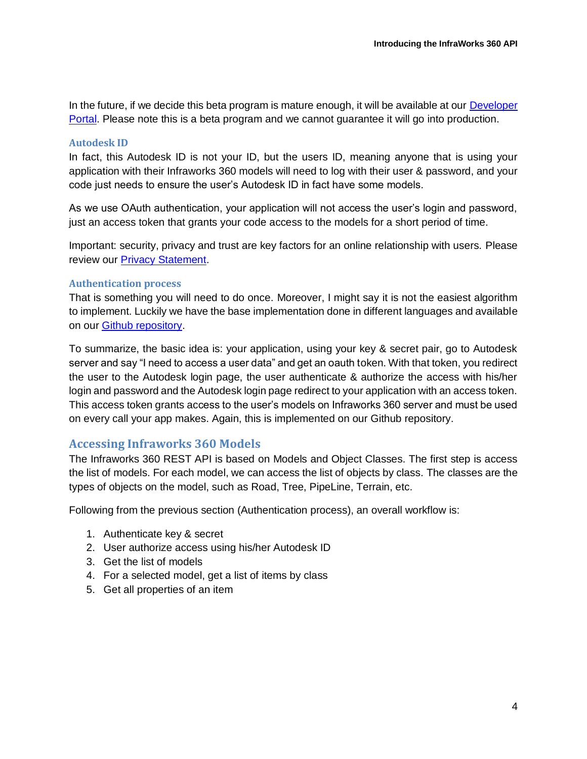In the future, if we decide this beta program is mature enough, it will be available at our Developer [Portal.](https://developer.autodesk.com/) Please note this is a beta program and we cannot guarantee it will go into production.

#### <span id="page-3-0"></span>**Autodesk ID**

In fact, this Autodesk ID is not your ID, but the users ID, meaning anyone that is using your application with their Infraworks 360 models will need to log with their user & password, and your code just needs to ensure the user's Autodesk ID in fact have some models.

As we use OAuth authentication, your application will not access the user's login and password, just an access token that grants your code access to the models for a short period of time.

Important: security, privacy and trust are key factors for an online relationship with users. Please review our [Privacy Statement.](http://www.autodesk.com/company/legal-notices-trademarks/privacy-statement)

#### <span id="page-3-1"></span>**Authentication process**

That is something you will need to do once. Moreover, I might say it is not the easiest algorithm to implement. Luckily we have the base implementation done in different languages and available on our [Github repository.](https://github.com/ADN-DevTech/AutodeskOAuthSamples)

To summarize, the basic idea is: your application, using your key & secret pair, go to Autodesk server and say "I need to access a user data" and get an oauth token. With that token, you redirect the user to the Autodesk login page, the user authenticate & authorize the access with his/her login and password and the Autodesk login page redirect to your application with an access token. This access token grants access to the user's models on Infraworks 360 server and must be used on every call your app makes. Again, this is implemented on our Github repository.

#### <span id="page-3-2"></span>**Accessing Infraworks 360 Models**

The Infraworks 360 REST API is based on Models and Object Classes. The first step is access the list of models. For each model, we can access the list of objects by class. The classes are the types of objects on the model, such as Road, Tree, PipeLine, Terrain, etc.

Following from the previous section (Authentication process), an overall workflow is:

- 1. Authenticate key & secret
- 2. User authorize access using his/her Autodesk ID
- 3. Get the list of models
- 4. For a selected model, get a list of items by class
- 5. Get all properties of an item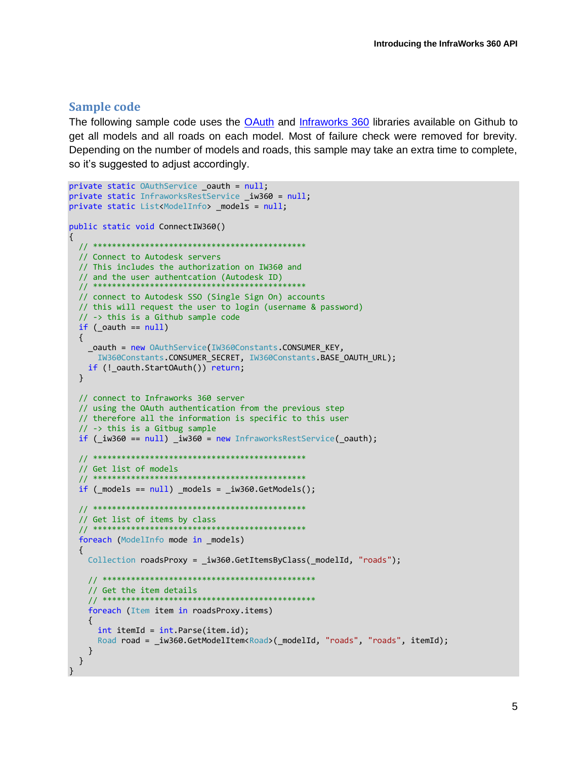#### <span id="page-4-0"></span>**Sample code**

The following sample code uses the OAuth and Infraworks 360 libraries available on Github to get all models and all roads on each model. Most of failure check were removed for brevity. Depending on the number of models and roads, this sample may take an extra time to complete, so it's suggested to adjust accordingly.

```
private static OAuthService oauth = null;
private static InfraworksRestService iw360 = null;
private static List<ModelInfo> _models = null;
public static void ConnectIW360()
 // ************************
                                ****************
 // Connect to Autodesk servers
 // This includes the authorization on IW360 and
 // and the user authentcation (Autodesk ID)
 11 **
 // connect to Autodesk SSO (Single Sign On) accounts
 // this will request the user to login (username & password)
  // -> this is a Github sample code
 if (<sub>c</sub>oauth == null)\{_oauth = new OAuthService(IW360Constants.CONSUMER KEY,
    IW360Constants.CONSUMER_SECRET, IW360Constants.BASE_OAUTH_URL);
   if (!_oauth.StartOAuth()) return;
  \mathcal{L}// connect to Infraworks 360 server
  // using the OAuth authentication from the previous step
 // therefore all the information is specific to this user
 // -> this is a Gitbug sample
 if ( iw360 == null) iw360 = new InfraworksRestService( oauth);// Get list of models
  11***if (_models == null) _models = _iw360.GetModels();
 // ****************************
                                  **************
  // Get list of items by class
 11***foreach (ModelInfo mode in models)
  \mathfrak{t}Collection roadsProxy = iw360.GetItemsByClass( modelId, "roads");
   // Get the item details
   11******************
   foreach (Item item in roadsProxy.items)
     int itemId = int.Parse(item.id);Road road = iw360.GetModelItem<Road>( modelId, "roads", "roads", itemId);
   \}\}\mathcal{F}
```